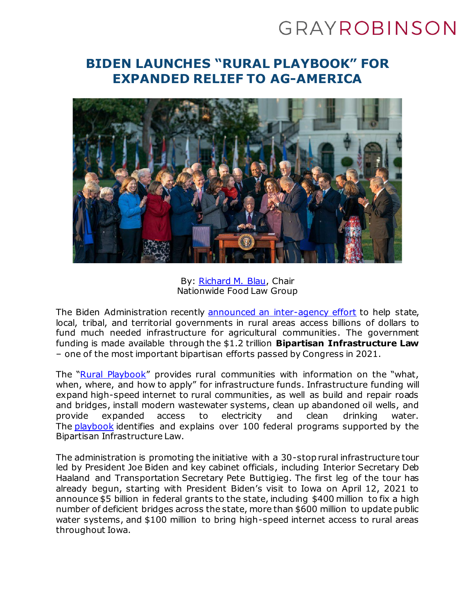# GRAYROBINSON

## **BIDEN LAUNCHES "RURAL PLAYBOOK" FOR EXPANDED RELIEF TO AG-AMERICA**



By: [Richard M. Blau,](https://www.gray-robinson.com/attorneys-professionals/richard-m-blau) Chair Nationwide Food Law Group

The Biden Administration recently [announced an inter-agency effort](https://www.whitehouse.gov/briefing-room/statements-releases/2022/04/11/biden-administration-releases-rural-playbook-launches-building-a-better-america-rural-infrastructure-tour-to-highlight-impact-of-bipartisan-infrastructure-law-on-rural-america/) to help state, local, tribal, and territorial governments in rural areas access billions of dollars to fund much needed infrastructure for agricultural communities. The government funding is made available through the \$1.2 trillion **Bipartisan Infrastructure Law**  – one of the most important bipartisan efforts passed by Congress in 2021.

The "[Rural Playbook](https://www.whitehouse.gov/build/rural/)" provides rural communities with information on the "what, when, where, and how to apply" for infrastructure funds. Infrastructure funding will expand high-speed internet to rural communities, as well as build and repair roads and bridges, install modern wastewater systems, clean up abandoned oil wells, and provide expanded access to electricity and clean drinking water. The [playbook](https://www.whitehouse.gov/wp-content/uploads/2022/04/BIL-Rural-Playbook-.pdf) identifies and explains over 100 federal programs supported by the Bipartisan Infrastructure Law.

The administration is promoting the initiative with a 30-stop rural infrastructure tour led by President Joe Biden and key cabinet officials, including Interior Secretary Deb Haaland and Transportation Secretary Pete Buttigieg. The first leg of the tour has already begun, starting with President Biden's visit to Iowa on April 12, 2021 to announce \$5 billion in federal grants to the state, including \$400 million to fix a high number of deficient bridges across the state, more than \$600 million to update public water systems, and \$100 million to bring high-speed internet access to rural areas throughout Iowa.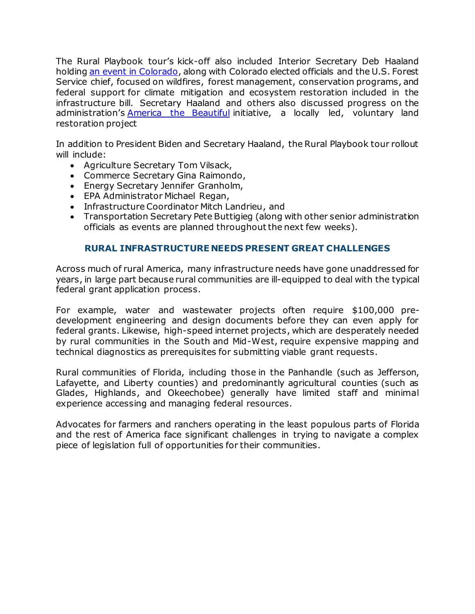The Rural Playbook tour's kick-off also included Interior Secretary Deb Haaland holding [an event in Colorado,](https://finance.yahoo.com/news/white-house-rural-playbook-wildfires-195022396.html) along with Colorado elected officials and the U.S. Forest Service chief, focused on wildfires, forest management, conservation programs, and federal support for climate mitigation and ecosystem restoration included in the infrastructure bill. Secretary Haaland and others also discussed progress on the administration's **America** the Beautiful initiative, a locally led, voluntary land restoration project

In addition to President Biden and Secretary Haaland, the Rural Playbook tour rollout will include:

- Agriculture Secretary Tom Vilsack,
- Commerce Secretary Gina Raimondo,
- Energy Secretary Jennifer Granholm,
- EPA Administrator Michael Regan,
- Infrastructure Coordinator Mitch Landrieu, and
- Transportation Secretary Pete Buttigieg (along with other senior administration officials as events are planned throughout the next few weeks).

### **RURAL INFRASTRUCTURE NEEDS PRESENT GREAT CHALLENGES**

Across much of rural America, many infrastructure needs have gone unaddressed for years, in large part because rural communities are ill-equipped to deal with the typical federal grant application process.

For example, water and wastewater projects often require \$100,000 predevelopment engineering and design documents before they can even apply for federal grants. Likewise, high-speed internet projects, which are desperately needed by rural communities in the South and Mid-West, require expensive mapping and technical diagnostics as prerequisites for submitting viable grant requests.

Rural communities of Florida, including those in the Panhandle (such as Jefferson, Lafayette, and Liberty counties) and predominantly agricultural counties (such as Glades, Highlands, and Okeechobee) generally have limited staff and minimal experience accessing and managing federal resources.

Advocates for farmers and ranchers operating in the least populous parts of Florida and the rest of America face significant challenges in trying to navigate a complex piece of legislation full of opportunities for their communities.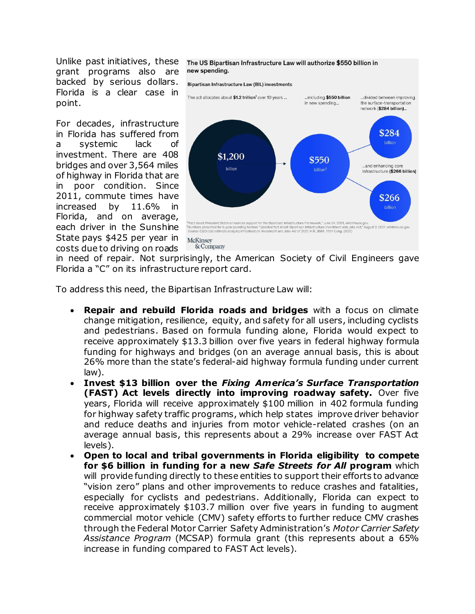Unlike past initiatives, these grant programs also are backed by serious dollars. Florida is a clear case in point.

For decades, infrastructure in Florida has suffered from a systemic lack of investment. There are 408 bridges and over 3,564 miles of highway in Florida that are in poor condition. Since 2011, commute times have increased by  $11.6\%$ Florida, and on average, each driver in the Sunshine State pays \$425 per year in costs due to driving on roads

#### The US Bipartisan Infrastructure Law will authorize \$550 billion in new spending.



in need of repair. Not surprisingly, the American Society of Civil Engineers gave Florida a "C" on its infrastructure report card.

To address this need, the Bipartisan Infrastructure Law will:

- **Repair and rebuild Florida roads and bridges** with a focus on climate change mitigation, resilience, equity, and safety for all users, including cyclists and pedestrians. Based on formula funding alone, Florida would expect to receive approximately \$13.3 billion over five years in federal highway formula funding for highways and bridges (on an average annual basis, this is about 26% more than the state's federal-aid highway formula funding under current law).
- **Invest \$13 billion over the** *Fixing America's Surface Transportation* **(FAST) Act levels directly into improving roadway safety.** Over five years, Florida will receive approximately \$100 million in 402 formula funding for highway safety traffic programs, which help states improve driver behavior and reduce deaths and injuries from motor vehicle-related crashes (on an average annual basis, this represents about a 29% increase over FAST Act levels).
- **Open to local and tribal governments in Florida eligibility to compete for \$6 billion in funding for a new** *Safe Streets for All* **program** which will provide funding directly to these entities to support their efforts to advance "vision zero" plans and other improvements to reduce crashes and fatalities, especially for cyclists and pedestrians. Additionally, Florida can expect to receive approximately \$103.7 million over five years in funding to augment commercial motor vehicle (CMV) safety efforts to further reduce CMV crashes through the Federal Motor Carrier Safety Administration's *Motor Carrier Safety Assistance Program* (MCSAP) formula grant (this represents about a 65% increase in funding compared to FAST Act levels).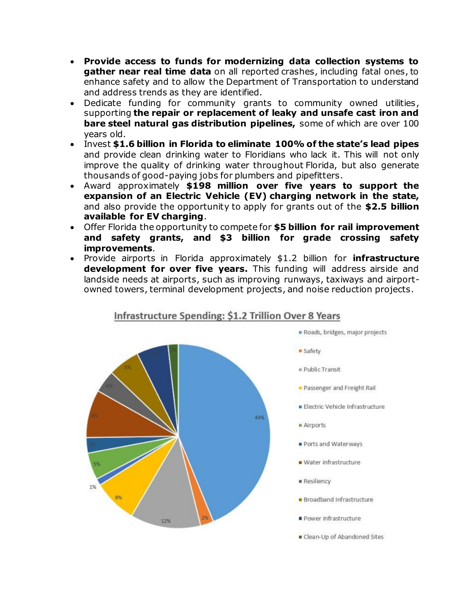- **Provide access to funds for modernizing data collection systems to gather near real time data** on all reported crashes, including fatal ones, to enhance safety and to allow the Department of Transportation to understand and address trends as they are identified.
- Dedicate funding for community grants to community owned utilities, supporting **the repair or replacement of leaky and unsafe cast iron and bare steel natural gas distribution pipelines,** some of which are over 100 years old.
- Invest **\$1.6 billion in Florida to eliminate 100% of the state's lead pipes** and provide clean drinking water to Floridians who lack it. This will not only improve the quality of drinking water throughout Florida, but also generate thousands of good-paying jobs for plumbers and pipefitters.
- Award approximately **\$198 million over five years to support the expansion of an Electric Vehicle (EV) charging network in the state,** and also provide the opportunity to apply for grants out of the **\$2.5 billion available for EV charging**.
- Offer Florida the opportunity to compete for **\$5 billion for rail improvement and safety grants, and \$3 billion for grade crossing safety improvements**.
- Provide airports in Florida approximately \$1.2 billion for **infrastructure development for over five years.** This funding will address airside and landside needs at airports, such as improving runways, taxiways and airportowned towers, terminal development projects, and noise reduction projects.



## Infrastructure Spending: \$1.2 Trillion Over 8 Years